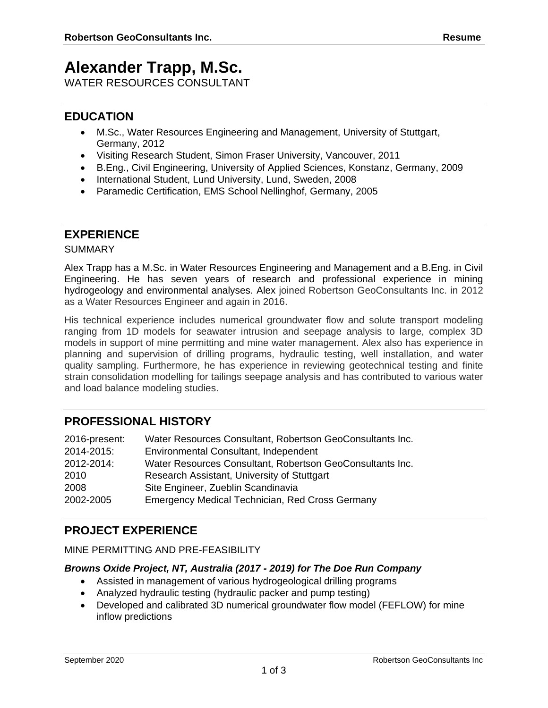# **Alexander Trapp, M.Sc.**

WATER RESOURCES CONSULTANT

# **EDUCATION**

- M.Sc., Water Resources Engineering and Management, University of Stuttgart, Germany, 2012
- Visiting Research Student, Simon Fraser University, Vancouver, 2011
- B.Eng., Civil Engineering, University of Applied Sciences, Konstanz, Germany, 2009
- International Student, Lund University, Lund, Sweden, 2008
- Paramedic Certification, EMS School Nellinghof, Germany, 2005

# **EXPERIENCE**

### **SUMMARY**

Alex Trapp has a M.Sc. in Water Resources Engineering and Management and a B.Eng. in Civil Engineering. He has seven years of research and professional experience in mining hydrogeology and environmental analyses. Alex joined Robertson GeoConsultants Inc. in 2012 as a Water Resources Engineer and again in 2016.

His technical experience includes numerical groundwater flow and solute transport modeling ranging from 1D models for seawater intrusion and seepage analysis to large, complex 3D models in support of mine permitting and mine water management. Alex also has experience in planning and supervision of drilling programs, hydraulic testing, well installation, and water quality sampling. Furthermore, he has experience in reviewing geotechnical testing and finite strain consolidation modelling for tailings seepage analysis and has contributed to various water and load balance modeling studies.

# **PROFESSIONAL HISTORY**

| 2016-present: | Water Resources Consultant, Robertson GeoConsultants Inc. |
|---------------|-----------------------------------------------------------|
| 2014-2015:    | Environmental Consultant, Independent                     |
| 2012-2014:    | Water Resources Consultant, Robertson GeoConsultants Inc. |
| 2010          | Research Assistant, University of Stuttgart               |
| 2008          | Site Engineer, Zueblin Scandinavia                        |
| 2002-2005     | Emergency Medical Technician, Red Cross Germany           |

# **PROJECT EXPERIENCE**

# MINE PERMITTING AND PRE-FEASIBILITY

# *Browns Oxide Project, NT, Australia (2017 - 2019) for The Doe Run Company*

- Assisted in management of various hydrogeological drilling programs
- Analyzed hydraulic testing (hydraulic packer and pump testing)
- Developed and calibrated 3D numerical groundwater flow model (FEFLOW) for mine inflow predictions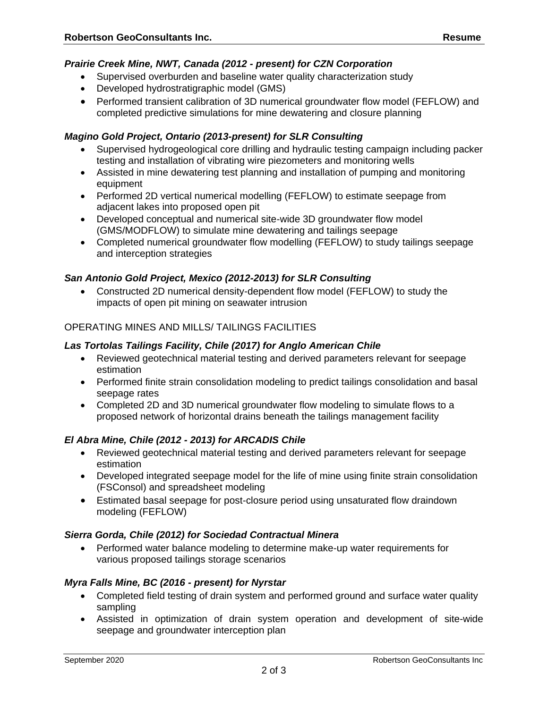# *Prairie Creek Mine, NWT, Canada (2012 - present) for CZN Corporation*

- Supervised overburden and baseline water quality characterization study
- Developed hydrostratigraphic model (GMS)
- Performed transient calibration of 3D numerical groundwater flow model (FEFLOW) and completed predictive simulations for mine dewatering and closure planning

## *Magino Gold Project, Ontario (2013-present) for SLR Consulting*

- Supervised hydrogeological core drilling and hydraulic testing campaign including packer testing and installation of vibrating wire piezometers and monitoring wells
- Assisted in mine dewatering test planning and installation of pumping and monitoring equipment
- Performed 2D vertical numerical modelling (FEFLOW) to estimate seepage from adjacent lakes into proposed open pit
- Developed conceptual and numerical site-wide 3D groundwater flow model (GMS/MODFLOW) to simulate mine dewatering and tailings seepage
- Completed numerical groundwater flow modelling (FEFLOW) to study tailings seepage and interception strategies

### *San Antonio Gold Project, Mexico (2012-2013) for SLR Consulting*

• Constructed 2D numerical density-dependent flow model (FEFLOW) to study the impacts of open pit mining on seawater intrusion

# OPERATING MINES AND MILLS/ TAILINGS FACILITIES

### *Las Tortolas Tailings Facility, Chile (2017) for Anglo American Chile*

- Reviewed geotechnical material testing and derived parameters relevant for seepage estimation
- Performed finite strain consolidation modeling to predict tailings consolidation and basal seepage rates
- Completed 2D and 3D numerical groundwater flow modeling to simulate flows to a proposed network of horizontal drains beneath the tailings management facility

# *El Abra Mine, Chile (2012 - 2013) for ARCADIS Chile*

- Reviewed geotechnical material testing and derived parameters relevant for seepage estimation
- Developed integrated seepage model for the life of mine using finite strain consolidation (FSConsol) and spreadsheet modeling
- Estimated basal seepage for post-closure period using unsaturated flow draindown modeling (FEFLOW)

#### *Sierra Gorda, Chile (2012) for Sociedad Contractual Minera*

• Performed water balance modeling to determine make-up water requirements for various proposed tailings storage scenarios

# *Myra Falls Mine, BC (2016 - present) for Nyrstar*

- Completed field testing of drain system and performed ground and surface water quality sampling
- Assisted in optimization of drain system operation and development of site-wide seepage and groundwater interception plan